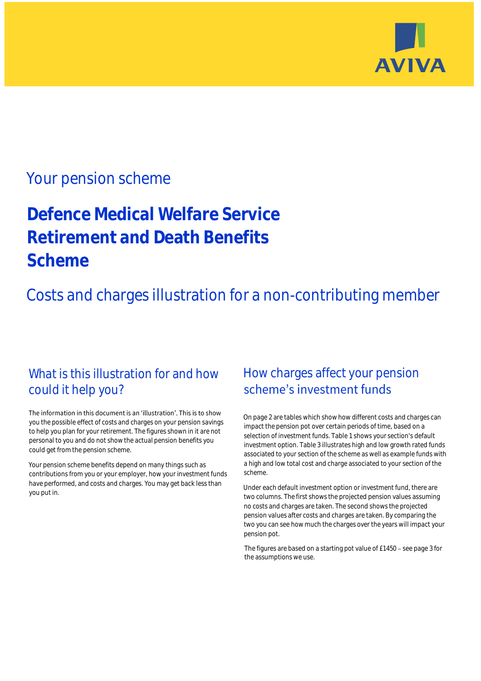

## Your pension scheme

# **Defence Medical Welfare Service Retirement and Death Benefits Scheme**

Costs and charges illustration for a non-contributing member

### What is this illustration for and how could it help you?

#### The information in this document is an 'illustration'. This is to show you the possible effect of costs and charges on your pension savings to help you plan for your retirement. The figures shown in it are not personal to you and do not show the actual pension benefits you could get from the pension scheme.

Your pension scheme benefits depend on many things such as contributions from you or your employer, how your investment funds have performed, and costs and charges. You may get back less than you put in.

### How charges affect your pension scheme's investment funds

On page 2 are tables which show how different costs and charges can impact the pension pot over certain periods of time, based on a selection of investment funds. Table 1 shows your section's default investment option. Table 3 illustrates high and low growth rated funds associated to your section of the scheme as well as example funds with a high and low total cost and charge associated to your section of the scheme.

Under each default investment option or investment fund, there are two columns. The first shows the projected pension values assuming no costs and charges are taken. The second shows the projected pension values after costs and charges are taken. By comparing the two you can see how much the charges over the years will impact your pension pot.

The figures are based on a starting pot value of  $£1450 -$  see page 3 for the assumptions we use.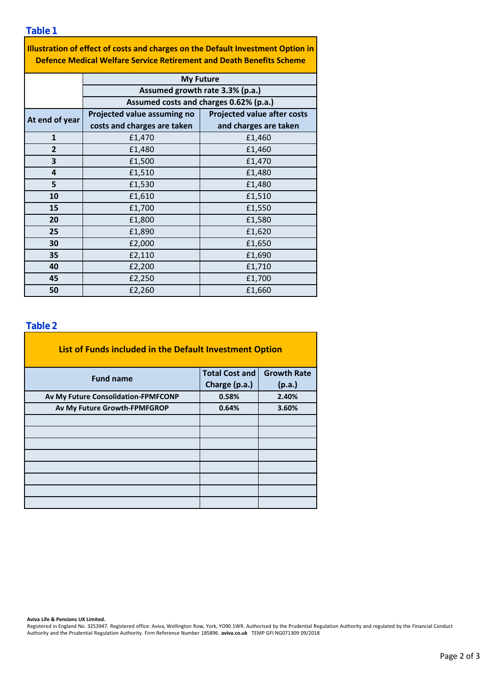**Table 1**

| Illustration of effect of costs and charges on the Default Investment Option in |
|---------------------------------------------------------------------------------|
| Defence Medical Welfare Service Retirement and Death Benefits Scheme            |

|                | <b>My Future</b>                       |                                    |  |  |  |  |
|----------------|----------------------------------------|------------------------------------|--|--|--|--|
|                | Assumed growth rate 3.3% (p.a.)        |                                    |  |  |  |  |
|                | Assumed costs and charges 0.62% (p.a.) |                                    |  |  |  |  |
| At end of year | Projected value assuming no            | <b>Projected value after costs</b> |  |  |  |  |
|                | costs and charges are taken            | and charges are taken              |  |  |  |  |
| $\mathbf{1}$   | £1,470                                 | £1,460                             |  |  |  |  |
| $\overline{2}$ | £1,480                                 | £1,460                             |  |  |  |  |
| 3              | £1,500                                 | £1,470                             |  |  |  |  |
| 4              | £1,510                                 | £1,480                             |  |  |  |  |
| 5              | £1,530                                 | £1,480                             |  |  |  |  |
| 10             | £1,610                                 | £1,510                             |  |  |  |  |
| 15             | £1,700                                 | £1,550                             |  |  |  |  |
| 20             | £1,800                                 | £1,580                             |  |  |  |  |
| 25             | £1,890                                 | £1,620                             |  |  |  |  |
| 30             | £2,000                                 | £1,650                             |  |  |  |  |
| 35             | £2,110                                 | £1,690                             |  |  |  |  |
| 40             | £1,710<br>£2,200                       |                                    |  |  |  |  |
| 45             | £2,250                                 | £1,700                             |  |  |  |  |
| 50             | £2,260<br>£1,660                       |                                    |  |  |  |  |

### **Table 2**

| List of Funds included in the Default Investment Option |                       |                    |
|---------------------------------------------------------|-----------------------|--------------------|
| <b>Fund name</b>                                        | <b>Total Cost and</b> | <b>Growth Rate</b> |
|                                                         | Charge (p.a.)         | (p.a.)             |
| Av My Future Consolidation-FPMFCONP                     | 0.58%                 | 2.40%              |
| Av My Future Growth-FPMFGROP                            | 0.64%                 | 3.60%              |
|                                                         |                       |                    |
|                                                         |                       |                    |
|                                                         |                       |                    |
|                                                         |                       |                    |
|                                                         |                       |                    |
|                                                         |                       |                    |
|                                                         |                       |                    |
|                                                         |                       |                    |

**Aviva Life & Pensions UK Limited.**

Registered in England No. 3253947. Registered office: Aviva, Wellington Row, York, YO90 1WR. Authorised by the Prudential Regulation Authority and regulated by the Financial Conduct Authority and the Prudential Regulation Authority. Firm Reference Number 185896. **aviva.co.uk** TEMP GFI NG071309 09/2018